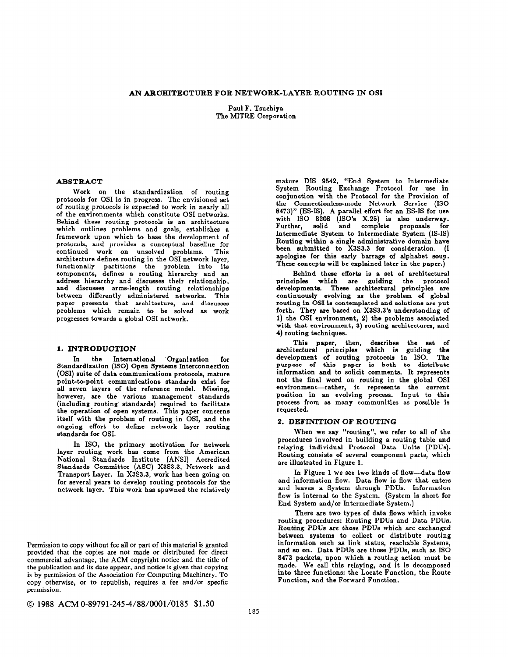Paul F. Tsuchiya The MITRE Corporation

#### ABSTRACT

Work on the standardization of routing protocols for OS1 is in progress. The envisioned set of routing protocols is expected to work in nearly all of the environments which constitute OS1 networks. Behind these routing protocols is an architecture which outlines problems and goals, establishes a framework upon which to base the development of protocols, and provides a conceptual baseline for continued work on unsolved problems. This architecture defines routing in the OS1 network layer, functionally partitions the problem into its components, defines a routing hierarchy and an address hierarchy and discusses their relationship, and discusses arms-length routing relationships between differently administered networks. This paper presents that architecture, and discusses problems which remain to be solved as worl progresses towards a global OS1 network.

# 1. INTRODUCTION

In the International Organization for Standardisation (ISO) Open Systems Interconnection (OSI) suite of data communications protocols, mature point-to-point communications standards exist for all seven layers of the reference model. Missing, however, are the various management standards (including routing. standards) required to facilitate the operation of open systems. This paper concerns itself with the problem of routing in OSI, and the ongoing effort to define network layer routing standards for OSI.

In ISO, the primary motivation for network layer routing work has come from the American National Standards Institute (ANSI) Accredited Standards Committee (ASC) X3S3.3, Network and Transport Layer. In X3S3.3, work has been going on for several years to develop routing protocols for the network layer. This work has spawned the relatively

Permission to copy without fee all or part of this material is granted provided that the copies are not made or distributed for direct commercial advantage, the ACM copyright notice and the title of the publication and its date appear, and notice is given that copying is by permission of the Association for Computing Machinery. To copy otherwise, or to republish, requires a fee and/or specfic permission.

mature DIS 9542, "End System to Intermedia System Routing Exchange Protocol for use in conjunction with the Protocol for the Provision of the Connectionless-mode Network Service (IS0 8473)" (ES-IS). A parallel effort for an ES-IS for use with ISO 8208 (ISO's X.25) is also underway. Further, solid and complete proposals for Intermediate System to Intermediate System (IS-IS) Routing within a single administrative domain have been submitted to X3S3.3 for consideration. (I apologize for this early barrage of alphabet soup. These concepts will be explained later in the paper.)

Behind these efforts is a set of architectural principles which are guiding the protocol developments. These architectural principles are continuously evolving as the problem of global routing in OS1 is contemplated and solutions are put forth. They are based on X3S3.3'6 understanding of 1) the OS1 environment, 2) the problems associated with that environment, 3) routing architectures, and 4) routing techniques.

This paper, then, describes the set of architectural principles which is guiding the development of routing protocols in ISO. The purpose of this paper is both to distribute information and to solicit comments. It represents not the final word on routing in the global OS1 environment-rather, it represents the current position in an evolving process. Input to this process from as many communities as possible is requested.

# 2. DEFINITION OF ROUTING

When we say "routing", we refer to all of the procedures involved in building a routing table and relaying individual Protocol Data Units (PDUs). Routing consists of several component parts, which are illustrated in Figure 1.

In Figure 1 we see two kinds of flow-data flow and information flow. Data flow is flow that enters and leaves a System through PDUs. Information flow is internal to the System. (System is short for End System and/or Intermediate System.)

There are two types of data flows which invoke routing procedures: Routing PDUs and Data PDUs. Routing PDUs are those PDUs which are exchanged between systems to collect or distribute routing information such ss link status, reachable Systems, and so on. Data PDUs are those PDUs, such as IS0 8473 packets, upon which a routing action must be made. We call this relaying, and it is decompose into three functions: the Locate Function, the Route Function, and the Forward Function.

0 1988 ACM 0-89791-245-4/88/0001/0185 \$1.50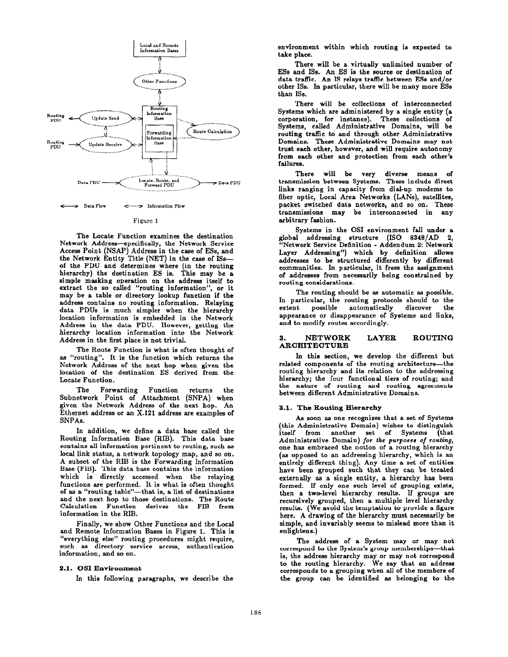

#### Figure 1

The Locate Function examines the destination Network Address-specifically, the Network Service Access Point (NSAP) Address in the case of ESs, and the Network Entity Title (NET) in the case of ISsof the PDU and determines where (in the routing hierarchy) the destination ES is. This may be a simple masking operation on the address itself to extract the so called "routing information", or it may be a table or directory lookup function if the address contains no routing information. Relaying data PDUs is much simpler when the hierarchy location information is embedded in the Network Address in the data PDU. However, getting the hierarchy location information into the Network Address in the first place is not trivial.

The Route Function is what is often thought of as "routing". It is the function which returns the Network Address of the next hop when given the location of the destination ES derived from the Locate Function.

The Forwarding Function returns the Subnetwork Point of Attachment (SNPA) when given the Network Address of the next hop. An Ethernet address or an X.121 address are examples of SNPAs.

In addition, we define a data base called the Routing Information Base (RIB). This data base contains all information pertinent to routing, such as local link status, a network topology map, and so on. A subset of the RIB is the Forwarding Information Base (FIB). This data base contains the information which is directly accessed when the relaying functions are performed. It is what is often thought of as a "routing table"-that is, a list of destinations and the next hop to those destinations. The Route<br>Calculation Function derives the FIB from derives the FIB from information in the RIB.

Finally, we show Other Functions and the Local and Remote Information Bases in Figure 1. This is "everything else" routing procedures might require, such as directory service access, authentication information, and so on.

## 2.1. OS1 Environment

In this following paragraphs, we describe the

environment within which routing is expected to take place.

There will be a virtually unlimited number of ESs and ISs. An ES is the source or destination of data traffic. An IS relays traffic between ESs and/or other ISs. In particular, there will be many more ESs than ISs.

There will be collections of interconnected Systems which are administered by a single entity (a corporation, for instance). These collections of Systems, called Administrative Domains, will be routing traffic to and through other Administrative Domains. These Administrative Domains may not trust each other, however, and will require autonomy from each other and protection from each other's failures.

There will be very diverse means of transmission between Systems. These include direct links ranging in capacity from dial-up modems to fiber optic, Local Area Networks (LANs), satellites, packet switched data networks, and so on. These transmissions may be interconnected in any arbitrary fashion.

Systems in the OS1 environment fall under a global addressing structure (IS0 8348/AD 2, "Network Service Definition - Addendum 2: Network Layer Addressing") which by definition allows addresses to be structured differently by different communities. In particular, it frees the assignment of addresses from necessarily being constrained by routing considerations.

The routing should be as automatic as possible. In particular, the routing protocols should to the extent possible automatically discover the appearance or disappearance of Systems and links, and to modify routes accordingly.

#### **NETWORK ROUTING** 3. **LAYER ARCHITECTURE**

In this section, we develop the different but related components of the routing architecture-the routing hierarchy and its relation to the addressing hierarchy; the four functional tiers of routing; and the nature of routing and routing agreements between different Administrative Domains.

#### 3.1. The Routing Hierarchy

As soon as one recognizes that a set of Systems (this Administrative Domain) wishes to distinguish another set of Systems (that Administrative Domain) for the purposes of routing, one has embraced the notion of a routing hierarchy (as opposed to an addressing hierarchy, which is an entirely different thing). Any time a set of entities have been grouped such that they can be treated externally as a single entity, a hierarchy has been formed. If only one such level of grouping exists, then a two-level hierarchy results. If groups are recursively grouped, then a multiple level hierarchy results. (We avoid the temptation to provide a figure here. A drawing of the hierarchy must necessarily be simple, and invariably seems to mislead more than it enlightens.)

The address of a System may or may not correspond to the System's group memberships-that is, the address hierarchy may or may not correspond to the routing hierarchy. We say that an address corresponds to a grouping when all of the members of the group can be identified as belonging to the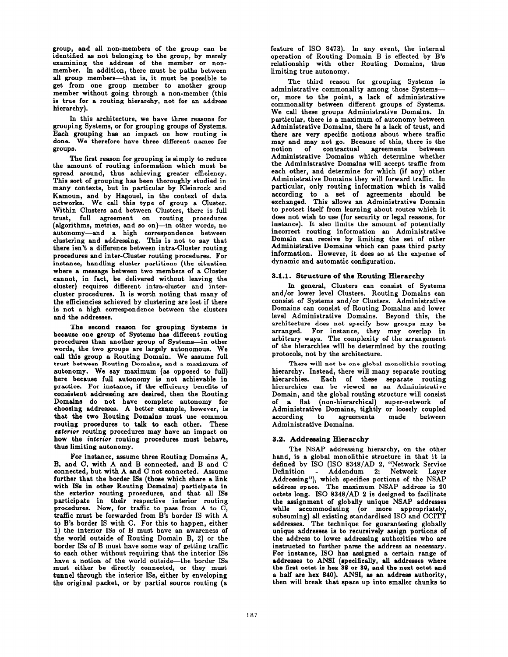group, and all non-members of the group can be identified as not belonging to the group, by merely examining the address of the member or nonmember. In addition, there must be paths between all group members-that is, it must be possible to get from one group member to another group member without going through a non-member (this is true for a routing hierarchy, not for an address hierarchy).

In this architecture, we have three reasons for grouping Systems, or for grouping groups of Systems. Each grouping has an impact on how routing is done. We therefore have three different names for groups.

The first reason for grouping is simply to reduce the amount of routing information which must be spread around, thus achieving greater efficiency. This sort of grouping has been thoroughly studied in many contexts, but in particular by Kleinrock and Kamoun, and by Hagouel, in the context of data networks. We call this type of group a Cluster. Within Clusters and between Clusters, there is full trust, full agreement on routing procedures (algorithms, metrics, and so on)-in other words, no autonomy-and a high correspondence between clustering and addressing. This is not to say that there isn't a difference between intra-Cluster routing procedures and inter-Cluster routing procedures. For instance, handling cluster partitions (the situation where a message between two members of a Cluster cannot, in fact, be delivered without leaving the cluster) requires different intra-cluster and intercluster procedures. It is worth noting that many of the efficiencies achieved by clustering are lost if there is not a high correspondence between the clusters and the addresses.

The second reason for grouping Systems is because one group of Systems has different routing procedures than another group of Systems-in other words, the two groups are largely autonomous. We call this group a Routing Domain. We assume full trust between Routing Domains, and a maximum of autonomy. We say maximum (as opposed to full) here because full autonomy is not achievable in practice. For instance, if the efficiency benefits of consistent addressing are desired, then the Routing Domains do not have complete autonomy for choosing addresses. A better example, however, is that the two Routing Domains must use common routing procedures to talk to each other. These exterior routing procedures may have an impact on how the interior routing procedures must behave, thus limiting autonomy.

For instance, assume three Routing Domains A, B, and C, with A and B connected, and B and C connected, but with A and C not connected. Assume further that the border ISe (those which share a link with ISs in other Routing Domains) participate in the exterior routing procedures, and that all ISs participate in their respective interior routing procedures. Now, for traffic to pass from A to  $\overrightarrow{C}$ , traffic must be forwarded from B's border IS with A to B's border IS with C. For this to happen, either 1) the interior ISs of B must have an awareness of the world outside of Routing Domain B, 2) or the border ISs of B must have some way of getting traffic to each other without requiring that the interior ISs have a notion of the world outside-the border ISs must either be directly connected, or they must tunnel through the interior ISs, either by enveloping the original packet, or by partial source routing (a

feature of ISO 8473). In any event, the intern operation of Routing Domain B is effected by B'B relationship with other Routing Domains, thus limiting true autonomy.

The third reason for grouping Systems is administrative commonality among those Systemsor, more to the point, a Iack of administrative commonality between different groups of Systems. We call these groups Administrative Domains. In particular, there is a maximum of autonomy between Administrative Domains, there is a lack of trust, and there are very specific notions about where traflic may and may not go. Because of this, there is the notion of contractual agreements between Administrative Domains which determine whether the Administrative Domains will accept traffic from each other, and determine for which (if any) other Administrative Domains they will forward traflic. In particular, only routing information which is valid according to a set of agreements should be exchanged. This allows an Administrative Domai to protect itself from learning about routes which it does not wish to use (for security or legal reasons, for instance). It also limits the amount of potentia incorrect routing information an Administra Domain can receive by limiting the set of other Administrative Domains which can pass third party information. However, it does so at the expense of dynamic and automatic configuration.

### 3.1.1. Structure of the Routing Hierarchy

In general, Clusters can consist of Systems and/or lower level Clusters. Routing Domains can consist of Systems and/or Clusters. Administrative Domains can consist of Routing Domains and lower level Administrative Domains. Beyond this, the architecture does not specify how groups may be arranged. For instance, they may overlap in arbitrary ways. The complexity of the arrangement of the hierarchies will be determined by the routing protocols, not by the architecture.

There will not be one global monolithic routing hierarchy. Instead, there will many separate routing hierarchies. Each of these separate routing hierarchies can be viewed as an Administra Domain, and the global routing structure will consist of a flat (non-hierarchical) super-network of Administrative Domains, tightly or loosely coupled<br>according to agreements made between to agreements made Administrative Domains.

# 3.2. Addressing Hierarchy

The NSAP addressing hierarchy, on the other hand, is a global monolithic structure in that it is defined by IS0 (IS0 8348/AD 2, "Network Service Definition - Addendum 2: Network Laye Addressing"), which specifies portions of the NSAP address space. The maximum NSAP address is 20 octets long. ISO 8348/AD 2 is designed to facilitate the assignment of globally unique NSAP addresses while accommodating (or more appropriately<br>subsuming) all existing standardized ISO and CCIT addresses. The technique for guaranteeing globall unique addresses is to recursively assign portions of the address to lower addressing authorities who are instructed to further parse the address as necessary. For instance, IS0 has assigned a certain range of addresses to ANSI (specifically, all addresses where the first octet is hex 38 or 39. and the next octet and a half are hex 840). ANSI, as an address authority, then will break that space up into smaller chunks to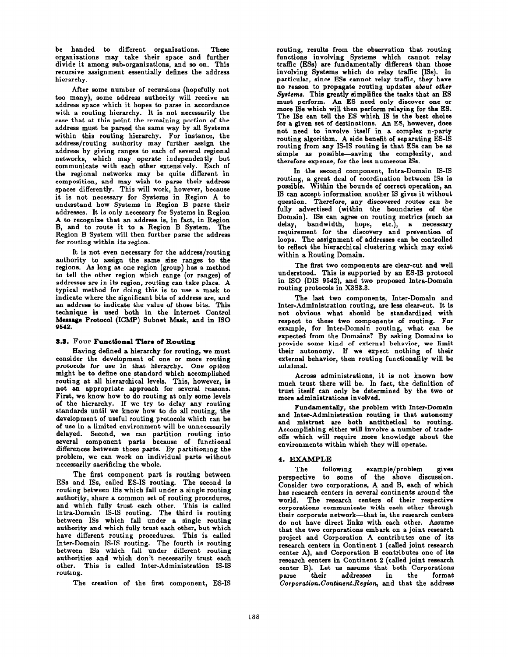be handed to different organizations. These organizations may take their space and furthe divide it among sub-organizations, and so on. This recursive assignment essentially defines the address hierarchy.

After some number of recursions (hopefully not too many), some address authority will receive an address space which it hopes to parse in accordance with a routing hierarchy. It is not necessarily the case that at this point the remaining portion of the address must be parsed the same way by all Systems within this routing hierarchy. For instance, the address/routing authority may further assign the address by giving ranges to each of several regional networks, which may operate independently but communicate with each other extensively. Each of the regional networks may be quite different in composition, and may wish to parse their address spaces differently. This will work, however, because it is not necessary for Systems in Region A to understand how Systems in Region B parse their addresses. It is only necessary for Systems in Region A to recognise that an address is, in fact, in Region B, and to route it to a Region B System. The Region B System will then further parse the address for routing within its region.

It is not even necessary for the address/routing authority to assign the same size ranges to the regions. As long as one region (group) has a method to tell the other region which range (or ranges) of addresses are in its region, routing can take place. A typical method for doing this is to use a mask to indicate where the significant bits of address are, and an address to indicate the value of those bits. This technique is used both in the Internet Control Message Protocol (ICMP) Subnet Mask, and in ISO 4542.

# 3.3. Four Functional Tiers of Routing

Having defined a hierarchy for routing, we must consider the development of one or more routing protocols for use in that hierarchy. One option might be to define one standard which accomplished routing at all hierarchical levels. This, however, is not an appropriate approach for several reasons. First, we know how to do routing at only some levels of the hierarchy. If we try to delay any routing standards until we know how to do all routing, the development of useful routing protocols which can be of use in a limited environment will be unnecessarily delayed. Second, we can partition routing into several component parts because of function differences between those parts. By partitioning the problem, we can work on individual parts without necessarily sacrificing the whole.

The first component part is routing between ESs and ISs, called ES-IS routing. The second is routing between ISs which fall under a single routing authority, share a common set of routing procedures, and which fully trust each other. This is called Intra-Domain IS-IS routing. The third is routing between ISs which fall under a single routing authoritv and which fully trust each other. but which have different routing procedures. This is called Inter-Domain IS-IS routing. The fourth is routing between ISs which fall under different routing authorities and which don't necessarily trust each other. This is called Inter-Administration IS-IS routing.

The creation of the first component, ES-IS

routing, results from the observation that routing functions involving Systems which cannot relay traffic (ESs) are fundamentally different than those involving Systems which do relay traffic (ISs). In particular, since ESs cannot relay traffic, they have no reason to propagate routing updates about other Systems. This greatly simplifies the tasks that an ES must perform. An ES need only discover one or more ISs which will then perform relaying for the ES. The ISs can tell the ES which IS is the best choice for a given set of destinations. An ES, however, does not need to involve itself in a complex n-party routing algorithm. A side benefit of separating ES-IS routing from any IS-IS routing is that ESs can be as simple as possible-saving the complexity, and therefore expense, for the less numerous ISs.

In the second component, Intra-Domain IS-IS routing, a great deal of coordination between ISs is possible. Within the bounds of correct operation, an IS can accept information another IS gives it without question. Therefore, any discovered routes can be fully advertised (within the boundaries of the Domain). ISs can agree on routing metrics (such as delay, bandwidth, hops, etc.), a necessar requirement for the discovery and prevention of loops. The assignment of addresses can be controlled to reflect the hierarchical clustering which may exist within a Routing Domain.

The first two components are clear-cut and well understood. This is supported by an ES-IS protocol in ISO (DIS 9542), and two proposed Intra-Dom routing protocols in X3S3.3.

The last two components, Inter-Domain and Inter-Administration routing, are less clear-cut. It is not obvious what should be standardized with respect to these two components of routing. For example, for Inter-Domain routing, what can be expected from the Domains? By asking Domains to provide some kind of external behavior, we limit their autonomy. If we expect nothing of thei external behavior, then routing functionality will be minimal.

Across administrations, it is not known how much trust there will be. In fact, the definition of trust itself can only be determined by the two or more administrations involved.

Fundamentally, the problem with Inter-Domain and Inter-Administration routing is that autonomy and mistrust are both antithetical to routing. Accomplishing either wilI involve a number of tradeoffs which will require more knowledge about the environments within which they will operate.

# 4. EXAMPLE

The following example/problem gives perspective to some of the above discussion. Consider two corporations, A and B, each of which has research centers in several continents around the world. The research centers of their respective corporations communicate with each other through their corporate network-that is, the research centers do not have direct links with each other. Assume that the two corporations embark on a joint research project and Corporation A contributes one of its research centers in Continent 1 (called joint research center A), and Corporation B contributes one of its research centers in Continent 2 (called joint research center B). Let us sssume that both Corporations parse their addresses in the format Corporation. Continent. Region, and that the address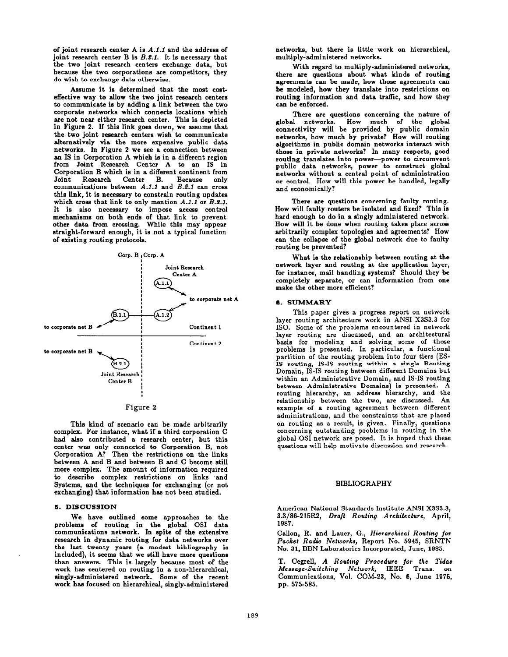of joint research center A is  $A.1.1$  and the address of joint research center B is  $B.2.1$ . It is necessary that the two joint research centers exchange data, but because the two corporations are competitors, they do wish to exchange data otherwise.

Assume it is determined that the most costeffective way to allow the two joint research centers to communicate is by adding a link between the two corporate networks which connects locations which are not near either research center. This is depicted in Figure 2. If this link goes down, we assume that the two joint research centers wish to communicate alternatively via the more expensive public data networks. In Figure 2 we see a connection between an IS in Corporation A which is in a different region from Joint Research Center A to an IS in Corporation B which is in a different continent from Joint Research Center B. Because only communications between  $A.1.1$  and  $B.2.1$  can cross this link, it is necessary to constrain routing updates which cross that link to only mention  $A.1.1$  or  $B.2.1$ . It is also necessary to impose access control mechanisms on both ends of that link to prevent other data from crossing. While this may appea straight-forward enough, it is not a typical functio of existing routing protocols.



# Figure 2

This kind of scenario can be made arbitrarily complex. For instance, what if a third corporation C had also contributed a research center, but this center was only connected to Corporation B, not Corporation A? Then the restrictions on the link between A and B and between B and C become still more complex. The amount of information required to describe complex restrictions on links and Systems, and the techniques for exchanging (or not exchanging) that information has not been studied.

#### 6. DISCUSSION

We have outlined some approaches to the problema of routing in the global OS1 data communications network. In spite of the extensive research in dynamic routing for data networks over the last twenty years (a modest bibliography is included), it seems that we still have more questions than answers. This is largely because most of the work has centered on routing in a non-hierarchi singly-administered network. Some of the recent work has focused on hierarchical, singly-administered networks, but there is little work on hierarchical, multiply-administered networke.

With regard to multiply-administered networks, there are questions about what kinds of routing agreements can be made, how those agreements can be modeled, how they translate into restrictions on routing information and data traffic, and how they can be enforced.

There are questions concerning the nature of global networks. How much of the global connectivity will be provided by public domain networks, how much by private? How will routing algorithms in public domain networks interact with those in private networks? In many respects, good routing translates into power-power to circumvent public data networks, power to construct global networks without a central point of administration or control. How will this power be handled, legally and economically?

There are questions concerning faulty routing. How will faulty routers be isolated and fixed? This is hard enough to do in a singly administered network. How will it be done when routing takes place across arbitrarily complex topologies and agreements? How can the collapse of the global network due to faulty routing be prevented?

What is the relationship between routing at the network layer and routing at the application layer, for instance, mail handling systems? Should they be completely separate, or can information from one make the other more efficient?

#### 6. SUMMARY

This paper gives a progress report on network layer routing architecture work in ANSI X3S3.3 for ISO. Some of the problems encountered in network layer routing are discussed, and an architectural basis for modeling and solving some of those problems is presented. In particular, a function partition of the routing problem into four tiers (ES-IS routing, IS-IS routing within a single Routing Domain, IS-IS routing between different Domains but within an Administrative Domain, and IS-IS routing between Administrative Domains) is presented. A routing hierarchy, an address hierarchy, and the relationship between the two, are discussed. An example of a routing agreement between different administrations, and the constraints that are placed on routing as a result, is given. Finally, questions concerning outstanding problems in routing in the global OS1 network are posed. It is hoped that these questions will help motivate discussion and research.

#### BIBLIOGRAPHY

American National Standards Institute ANSI X3S3.3, 3.3/86-215R2, Drajt Routing Architecture, April, 1987.

Callon, R. and Lauer, G., Hierarchical Routing for Packet Radio Networks, Report No. 5945, SRNTN No. 31, BBN Laboratories Incorporated, June, 1985.

T. Cegrell, A Routing Procedure for the Tidaa Message-Switching Network, IEEE Trans. on Communications, Vol. COM-23, No. 6, June 1975, pp. 575-585.